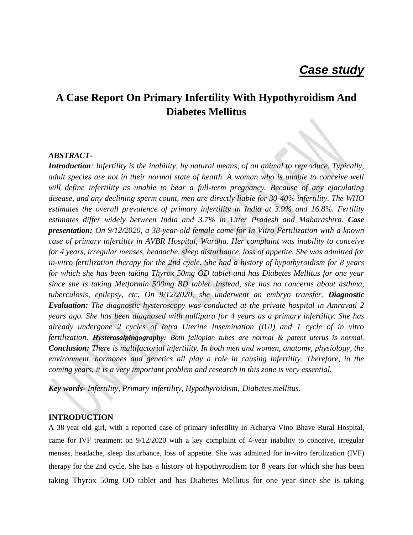# **A Case Report On Primary Infertility With Hypothyroidism And Diabetes Mellitus**

#### *ABSTRACT-*

*Introduction: Infertility is the inability, by natural means, of an animal to reproduce. Typically, adult species are not in their normal state of health. A woman who is unable to conceive well will define infertility as unable to bear a full-term pregnancy. Because of any ejaculating disease, and any declining sperm count, men are directly liable for 30-40% infertility. The WHO estimates the overall prevalence of primary infertility in India at 3.9% and 16.8%. Fertility estimates differ widely between India and 3.7% in Utter Pradesh and Maharashtra. Case presentation: On 9/12/2020, a 38-year-old female came for In Vitro Fertilization with a known case of primary infertility in AVBR Hospital, Wardha. Her complaint was inability to conceive for 4 years, irregular menses, headache, sleep disturbance, loss of appetite. She was admitted for in-vitro fertilization therapy for the 2nd cycle. She had a history of hypothyroidism for 8 years for which she has been taking Thyrox 50mg OD tablet and has Diabetes Mellitus for one year since she is taking Metformin 500mg BD tablet. Instead, she has no concerns about asthma, tuberculosis, epilepsy, etc. On 9/12/2020, she underwent an embryo transfer. Diagnostic Evaluation: The diagnostic hysteroscopy was conducted at the private hospital in Amravati 2 years ago. She has been diagnosed with nullipara for 4 years as a primary infertility. She has already undergone 2 cycles of Intra Uterine Insemination (IUI) and 1 cycle of in vitro fertilization. Hysterosalpingography: Both fallopian tubes are normal & patent uterus is normal. Conclusion: There is multifactorial infertility. In both men and women, anatomy, physiology, the environment, hormones and genetics all play a role in causing infertility. Therefore, in the coming years, it is a very important problem and research in this zone is very essential.*

*Key words- Infertility, Primary infertility, Hypothyroidism, Diabetes mellitus.*

#### **INTRODUCTION**

A 38-year-old girl, with a reported case of primary infertility in Acharya Vino Bhave Rural Hospital, came for IVF treatment on 9/12/2020 with a key complaint of 4-year inability to conceive, irregular menses, headache, sleep disturbance, loss of appetite. She was admitted for in-vitro fertilization (IVF) therapy for the 2nd cycle. She has a history of hypothyroidism for 8 years for which she has been taking Thyrox 50mg OD tablet and has Diabetes Mellitus for one year since she is taking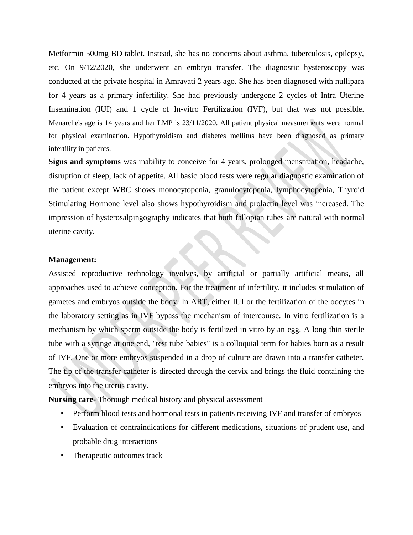Metformin 500mg BD tablet. Instead, she has no concerns about asthma, tuberculosis, epilepsy, etc. On 9/12/2020, she underwent an embryo transfer. The diagnostic hysteroscopy was conducted at the private hospital in Amravati 2 years ago. She has been diagnosed with nullipara for 4 years as a primary infertility. She had previously undergone 2 cycles of Intra Uterine Insemination (IUI) and 1 cycle of In-vitro Fertilization (IVF), but that was not possible. Menarche's age is 14 years and her LMP is 23/11/2020. All patient physical measurements were normal for physical examination. Hypothyroidism and diabetes mellitus have been diagnosed as primary infertility in patients.

**Signs and symptoms** was inability to conceive for 4 years, prolonged menstruation, headache, disruption of sleep, lack of appetite. All basic blood tests were regular diagnostic examination of the patient except WBC shows monocytopenia, granulocytopenia, lymphocytopenia, Thyroid Stimulating Hormone level also shows hypothyroidism and prolactin level was increased. The impression of hysterosalpingography indicates that both fallopian tubes are natural with normal uterine cavity.

#### **Management:**

Assisted reproductive technology involves, by artificial or partially artificial means, all approaches used to achieve conception. For the treatment of infertility, it includes stimulation of gametes and embryos outside the body. In ART, either IUI or the fertilization of the oocytes in the laboratory setting as in IVF bypass the mechanism of intercourse. In vitro fertilization is a mechanism by which sperm outside the body is fertilized in vitro by an egg. A long thin sterile tube with a syringe at one end, "test tube babies" is a colloquial term for babies born as a result of IVF. One or more embryos suspended in a drop of culture are drawn into a transfer catheter. The tip of the transfer catheter is directed through the cervix and brings the fluid containing the embryos into the uterus cavity.

**Nursing care**- Thorough medical history and physical assessment

- Perform blood tests and hormonal tests in patients receiving IVF and transfer of embryos
- Evaluation of contraindications for different medications, situations of prudent use, and probable drug interactions
- Therapeutic outcomes track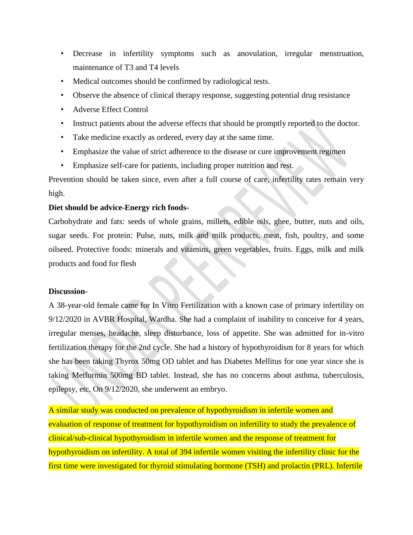- Decrease in infertility symptoms such as anovulation, irregular menstruation, maintenance of T3 and T4 levels
- Medical outcomes should be confirmed by radiological tests.
- Observe the absence of clinical therapy response, suggesting potential drug resistance
- Adverse Effect Control
- Instruct patients about the adverse effects that should be promptly reported to the doctor.
- Take medicine exactly as ordered, every day at the same time.
- Emphasize the value of strict adherence to the disease or cure improvement regimen
- Emphasize self-care for patients, including proper nutrition and rest.

Prevention should be taken since, even after a full course of care, infertility rates remain very high.

## **Diet should be advice-Energy rich foods-**

Carbohydrate and fats: seeds of whole grains, millets, edible oils, ghee, butter, nuts and oils, sugar seeds. For protein: Pulse, nuts, milk and milk products, meat, fish, poultry, and some oilseed. Protective foods: minerals and vitamins, green vegetables, fruits. Eggs, milk and milk products and food for flesh

## **Discussion-**

A 38-year-old female came for In Vitro Fertilization with a known case of primary infertility on 9/12/2020 in AVBR Hospital, Wardha. She had a complaint of inability to conceive for 4 years, irregular menses, headache, sleep disturbance, loss of appetite. She was admitted for in-vitro fertilization therapy for the 2nd cycle. She had a history of hypothyroidism for 8 years for which she has been taking Thyrox 50mg OD tablet and has Diabetes Mellitus for one year since she is taking Metformin 500mg BD tablet. Instead, she has no concerns about asthma, tuberculosis, epilepsy, etc. On 9/12/2020, she underwent an embryo.

A similar study was conducted on prevalence of hypothyroidism in infertile women and evaluation of response of treatment for hypothyroidism on infertility to study the prevalence of clinical/sub-clinical hypothyroidism in infertile women and the response of treatment for hypothyroidism on infertility. A total of 394 infertile women visiting the infertility clinic for the first time were investigated for thyroid stimulating hormone (TSH) and prolactin (PRL). Infertile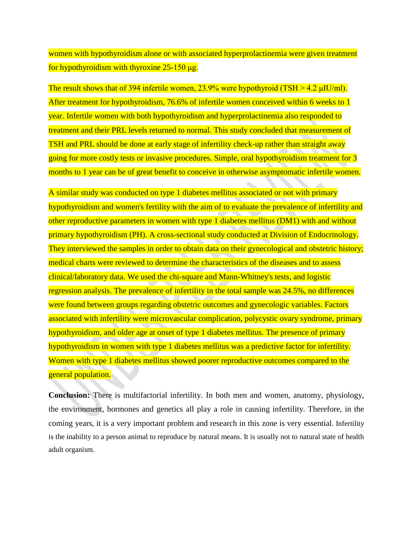women with hypothyroidism alone or with associated hyperprolactinemia were given treatment for hypothyroidism with thyroxine 25-150 μg.

The result shows that of 394 infertile women,  $23.9\%$  were hypothyroid (TSH  $> 4.2 \mu$ IU/ml). After treatment for hypothyroidism, 76.6% of infertile women conceived within 6 weeks to 1 year. Infertile women with both hypothyroidism and hyperprolactinemia also responded to treatment and their PRL levels returned to normal. This study concluded that measurement of TSH and PRL should be done at early stage of infertility check-up rather than straight away going for more costly tests or invasive procedures. Simple, oral hypothyroidism treatment for 3 months to 1 year can be of great benefit to conceive in otherwise asymptomatic infertile women.

A similar study was conducted on type 1 diabetes mellitus associated or not with primary hypothyroidism and women's fertility with the aim of to evaluate the prevalence of infertility and other reproductive parameters in women with type 1 diabetes mellitus (DM1) with and without primary hypothyroidism (PH). A cross-sectional study conducted at Division of Endocrinology. They interviewed the samples in order to obtain data on their gynecological and obstetric history; medical charts were reviewed to determine the characteristics of the diseases and to assess clinical/laboratory data. We used the chi-square and Mann-Whitney's tests, and logistic regression analysis. The prevalence of infertility in the total sample was 24.5%, no differences were found between groups regarding obstetric outcomes and gynecologic variables. Factors associated with infertility were microvascular complication, polycystic ovary syndrome, primary hypothyroidism, and older age at onset of type 1 diabetes mellitus. The presence of primary hypothyroidism in women with type 1 diabetes mellitus was a predictive factor for infertility. Women with type 1 diabetes mellitus showed poorer reproductive outcomes compared to the general population.

**Conclusion:** There is multifactorial infertility. In both men and women, anatomy, physiology, the environment, hormones and genetics all play a role in causing infertility. Therefore, in the coming years, it is a very important problem and research in this zone is very essential. Infertility is the inability to a person animal to reproduce by natural means. It is usually not to natural state of health adult organism.